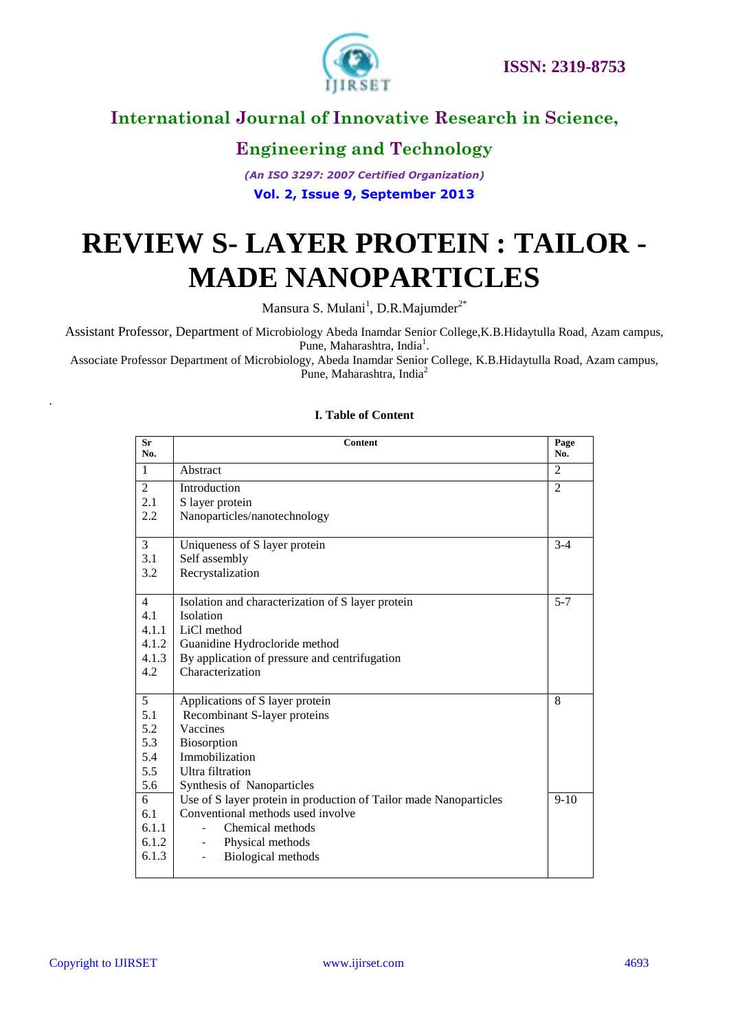

# **Engineering and Technology**

*(An ISO 3297: 2007 Certified Organization)* **Vol. 2, Issue 9, September 2013**

# **REVIEW S- LAYER PROTEIN : TAILOR - MADE NANOPARTICLES**

Mansura S. Mulani<sup>1</sup>, D.R.Majumder<sup>2\*</sup>

Assistant Professor, Department of Microbiology Abeda Inamdar Senior College,K.B.Hidaytulla Road, Azam campus, Pune, Maharashtra, India<sup>1</sup>.

Associate Professor Department of Microbiology, Abeda Inamdar Senior College, K.B.Hidaytulla Road, Azam campus, Pune, Maharashtra, India<sup>2</sup>

| Sr<br>No.      | <b>Content</b>                                                    | Page<br>No.    |  |  |
|----------------|-------------------------------------------------------------------|----------------|--|--|
| 1              | Abstract                                                          | $\overline{2}$ |  |  |
| 2              | Introduction                                                      | $\overline{2}$ |  |  |
| 2.1            | S layer protein                                                   |                |  |  |
| 2.2            | Nanoparticles/nanotechnology                                      |                |  |  |
| 3              | Uniqueness of S layer protein                                     | $3 - 4$        |  |  |
| 3.1            | Self assembly                                                     |                |  |  |
| 3.2            | Recrystalization                                                  |                |  |  |
| 4              | Isolation and characterization of S layer protein                 | $5 - 7$        |  |  |
| 4.1            | Isolation                                                         |                |  |  |
| 4.1.1          | LiCl method                                                       |                |  |  |
| 4.1.2          | Guanidine Hydrocloride method                                     |                |  |  |
| 4.1.3          | By application of pressure and centrifugation                     |                |  |  |
| 4.2            | Characterization                                                  |                |  |  |
| $\overline{5}$ | Applications of S layer protein                                   | 8              |  |  |
| 5.1            | Recombinant S-layer proteins                                      |                |  |  |
| 5.2            | Vaccines                                                          |                |  |  |
| 5.3            | Biosorption                                                       |                |  |  |
| 5.4            | Immobilization                                                    |                |  |  |
| 5.5            | <b>Ultra</b> filtration                                           |                |  |  |
| 5.6            | Synthesis of Nanoparticles                                        |                |  |  |
| $\overline{6}$ | Use of S layer protein in production of Tailor made Nanoparticles | $9-10$         |  |  |
| 6.1            | Conventional methods used involve                                 |                |  |  |
| 6.1.1          | Chemical methods                                                  |                |  |  |
| 6.1.2          | Physical methods                                                  |                |  |  |
| 6.1.3          | Biological methods                                                |                |  |  |

#### **I. Table of Content**

*.*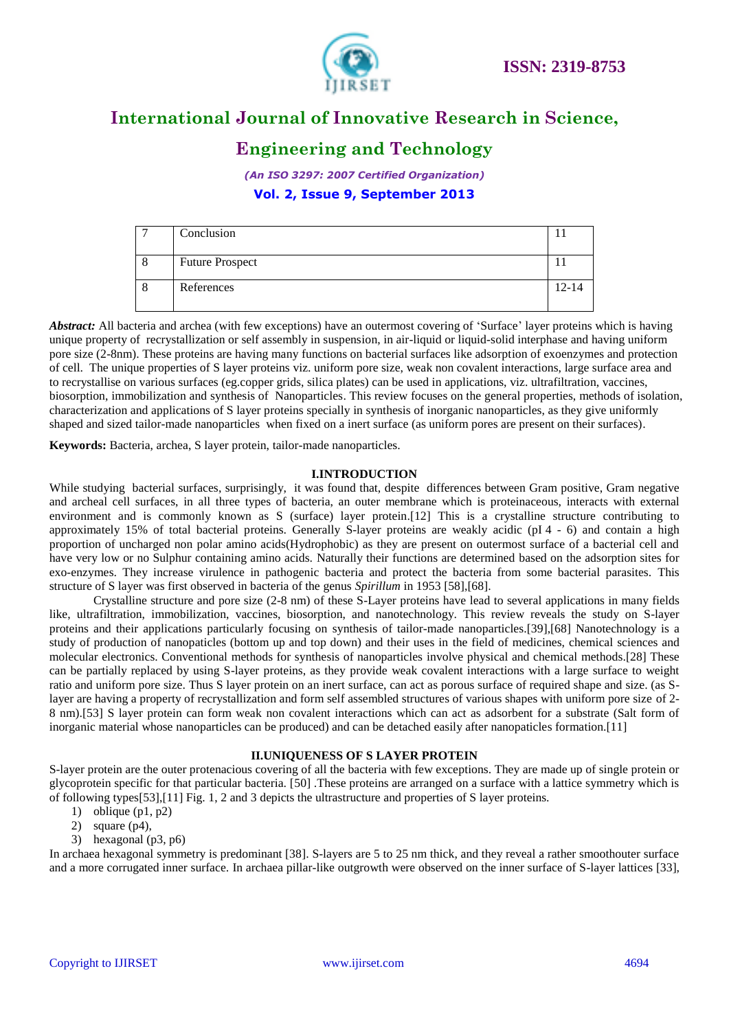

# **Engineering and Technology**

*(An ISO 3297: 2007 Certified Organization)* **Vol. 2, Issue 9, September 2013**

| Conclusion             |       |
|------------------------|-------|
| <b>Future Prospect</b> |       |
| References             | 12-14 |

*Abstract:* All bacteria and archea (with few exceptions) have an outermost covering of 'Surface' layer proteins which is having unique property of recrystallization or self assembly in suspension, in air-liquid or liquid-solid interphase and having uniform pore size (2-8nm). These proteins are having many functions on bacterial surfaces like adsorption of exoenzymes and protection of cell. The unique properties of S layer proteins viz. uniform pore size, weak non covalent interactions, large surface area and to recrystallise on various surfaces (eg.copper grids, silica plates) can be used in applications, viz. ultrafiltration, vaccines, biosorption, immobilization and synthesis of Nanoparticles. This review focuses on the general properties, methods of isolation, characterization and applications of S layer proteins specially in synthesis of inorganic nanoparticles, as they give uniformly shaped and sized tailor-made nanoparticles when fixed on a inert surface (as uniform pores are present on their surfaces).

**Keywords:** Bacteria, archea, S layer protein, tailor-made nanoparticles.

#### **I.INTRODUCTION**

While studying bacterial surfaces, surprisingly, it was found that, despite differences between Gram positive, Gram negative and archeal cell surfaces, in all three types of bacteria, an outer membrane which is proteinaceous, interacts with external environment and is commonly known as S (surface) layer protein.[12] This is a crystalline structure contributing to approximately 15% of total bacterial proteins. Generally S-layer proteins are weakly acidic (pI 4 - 6) and contain a high proportion of uncharged non polar amino acids(Hydrophobic) as they are present on outermost surface of a bacterial cell and have very low or no Sulphur containing amino acids. Naturally their functions are determined based on the adsorption sites for exo-enzymes. They increase virulence in pathogenic bacteria and protect the bacteria from some bacterial parasites. This structure of S layer was first observed in bacteria of the genus *Spirillum* in 1953 [58],[68].

Crystalline structure and pore size (2-8 nm) of these S-Layer proteins have lead to several applications in many fields like, ultrafiltration, immobilization, vaccines, biosorption, and nanotechnology. This review reveals the study on S-layer proteins and their applications particularly focusing on synthesis of tailor-made nanoparticles.[39],[68] Nanotechnology is a study of production of nanopaticles (bottom up and top down) and their uses in the field of medicines, chemical sciences and molecular electronics. Conventional methods for synthesis of nanoparticles involve physical and chemical methods.[28] These can be partially replaced by using S-layer proteins, as they provide weak covalent interactions with a large surface to weight ratio and uniform pore size. Thus S layer protein on an inert surface, can act as porous surface of required shape and size. (as Slayer are having a property of recrystallization and form self assembled structures of various shapes with uniform pore size of 2- 8 nm).[53] S layer protein can form weak non covalent interactions which can act as adsorbent for a substrate (Salt form of inorganic material whose nanoparticles can be produced) and can be detached easily after nanopaticles formation.[11]

#### **II.UNIQUENESS OF S LAYER PROTEIN**

S-layer protein are the outer protenacious covering of all the bacteria with few exceptions. They are made up of single protein or glycoprotein specific for that particular bacteria. [50] .These proteins are arranged on a surface with a lattice symmetry which is of following types[53],[11] Fig. 1, 2 and 3 depicts the ultrastructure and properties of S layer proteins.

- 1) oblique  $(p1, p2)$
- 2) square (p4),
- 3) hexagonal (p3, p6)

In archaea hexagonal symmetry is predominant [38]. S-layers are 5 to 25 nm thick, and they reveal a rather smoothouter surface and a more corrugated inner surface. In archaea pillar-like outgrowth were observed on the inner surface of S-layer lattices [33],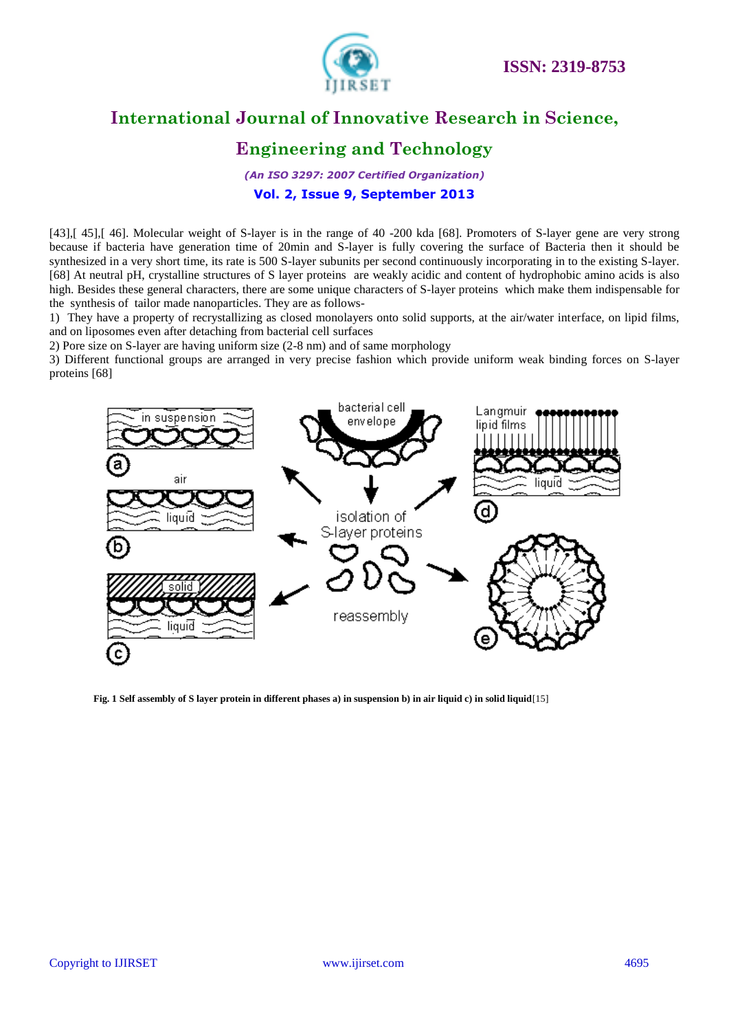

# **Engineering and Technology**

*(An ISO 3297: 2007 Certified Organization)* **Vol. 2, Issue 9, September 2013**

[43], [45], [46]. Molecular weight of S-layer is in the range of 40 -200 kda [68]. Promoters of S-layer gene are very strong because if bacteria have generation time of 20min and S-layer is fully covering the surface of Bacteria then it should be synthesized in a very short time, its rate is 500 S-layer subunits per second continuously incorporating in to the existing S-layer. [68] At neutral pH, crystalline structures of S layer proteins are weakly acidic and content of hydrophobic amino acids is also high. Besides these general characters, there are some unique characters of S-layer proteins which make them indispensable for the synthesis of tailor made nanoparticles. They are as follows-

1) They have a property of recrystallizing as closed monolayers onto solid supports, at the air/water interface, on lipid films, and on liposomes even after detaching from bacterial cell surfaces

2) Pore size on S-layer are having uniform size (2-8 nm) and of same morphology

3) Different functional groups are arranged in very precise fashion which provide uniform weak binding forces on S-layer proteins [68]



**Fig. 1 Self assembly of S layer protein in different phases a) in suspension b) in air liquid c) in solid liquid**[15]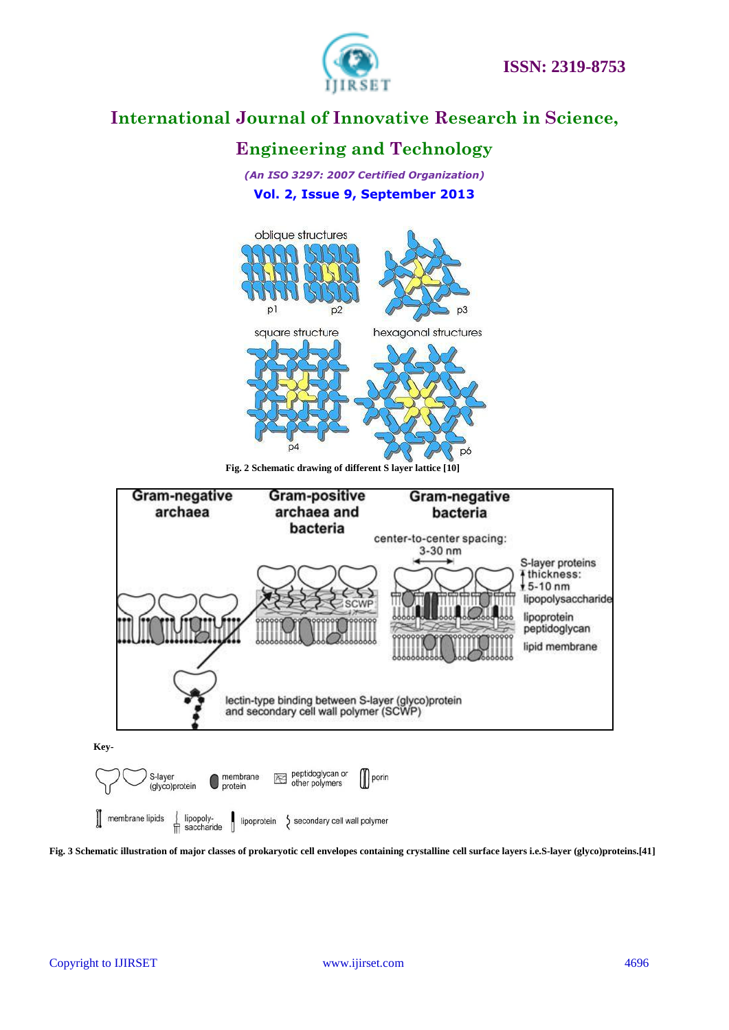

# **Engineering and Technology**

*(An ISO 3297: 2007 Certified Organization)* **Vol. 2, Issue 9, September 2013**



**Fig. 2 Schematic drawing of different S layer lattice [10]**



**Fig. 3 Schematic illustration of major classes of prokaryotic cell envelopes containing crystalline cell surface layers i.e.S-layer (glyco)proteins.[41]**

secondary cell wall polymer

| membrane lipids

 $\int$  lipopoly-<br>  $\pi$  saccharide

lipoprotein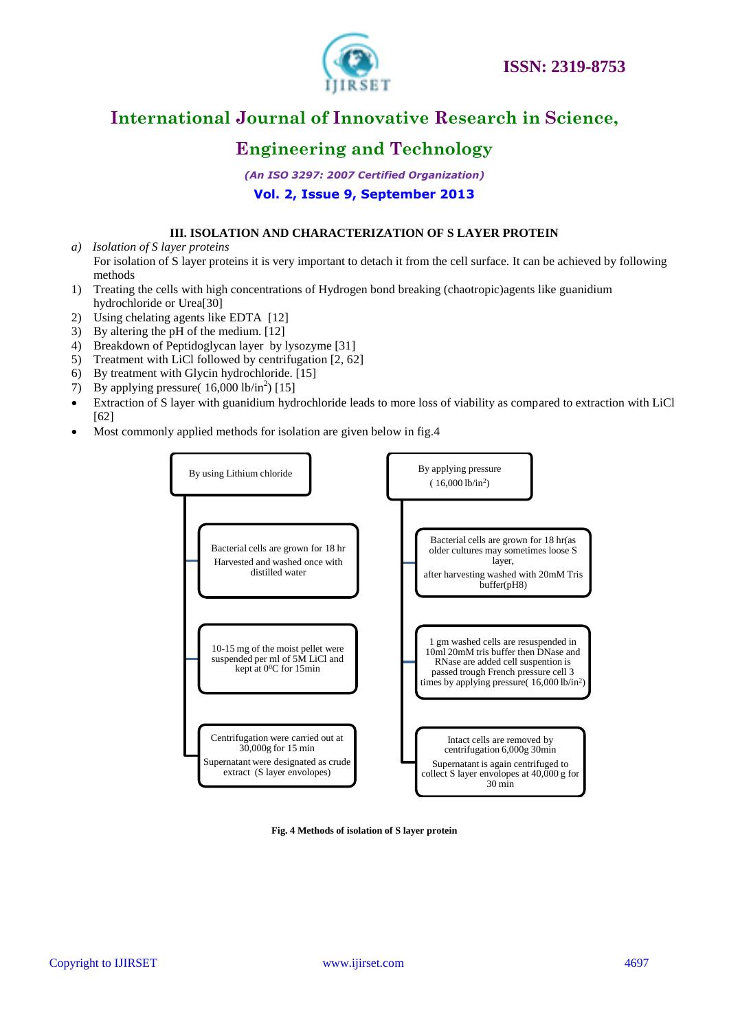

# **Engineering and Technology**

*(An ISO 3297: 2007 Certified Organization)* **Vol. 2, Issue 9, September 2013**

#### **III. ISOLATION AND CHARACTERIZATION OF S LAYER PROTEIN**

- *a) Isolation of S layer proteins* For isolation of S layer proteins it is very important to detach it from the cell surface. It can be achieved by following methods
- 1) Treating the cells with high concentrations of Hydrogen bond breaking (chaotropic)agents like guanidium hydrochloride or Urea[30]
- 2) Using chelating agents like EDTA [12]
- 3) By altering the pH of the medium. [12]
- 4) Breakdown of Peptidoglycan layer by lysozyme [31]
- 5) Treatment with LiCl followed by centrifugation [2, 62]
- 6) By treatment with Glycin hydrochloride. [15]
- 7) By applying pressure( $16,000$  lb/in<sup>2</sup>) [15]
- Extraction of S layer with guanidium hydrochloride leads to more loss of viability as compared to extraction with LiCl [62]
- Most commonly applied methods for isolation are given below in fig.4



#### **Fig. 4 Methods of isolation of S layer protein**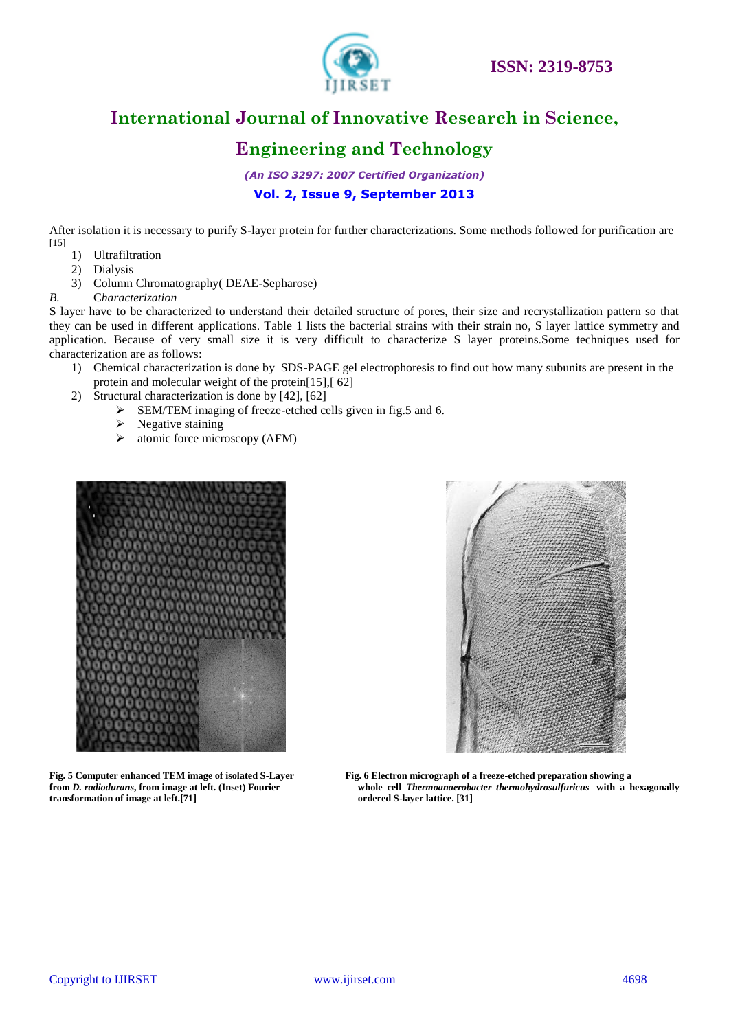

# **Engineering and Technology**

*(An ISO 3297: 2007 Certified Organization)* **Vol. 2, Issue 9, September 2013**

After isolation it is necessary to purify S-layer protein for further characterizations. Some methods followed for purification are [15]

- 1) Ultrafiltration
- 2) Dialysis
- 3) Column Chromatography( DEAE-Sepharose)
- *B.* C*haracterization*

S layer have to be characterized to understand their detailed structure of pores, their size and recrystallization pattern so that they can be used in different applications. Table 1 lists the bacterial strains with their strain no, S layer lattice symmetry and application. Because of very small size it is very difficult to characterize S layer proteins.Some techniques used for characterization are as follows:

- 1) Chemical characterization is done by SDS-PAGE gel electrophoresis to find out how many subunits are present in the protein and molecular weight of the protein[15],[ 62]
- 2) Structural characterization is done by [42], [62]
	- SEM/TEM imaging of freeze-etched cells given in fig.5 and 6.
	- $\triangleright$  Negative staining
	- $\triangleright$  atomic force microscopy (AFM)



**transformation of image at left.[71] ordered S-layer lattice. [31]**



**Fig. 5 Computer enhanced TEM image of isolated S-Layer Fig. 6 Electron micrograph of a freeze-etched preparation showing a from** *D. radiodurans***, from image at left. (Inset) Fourier whole cell** *Thermoanaerobacter thermohydrosulfuricus* **with a hexagonally**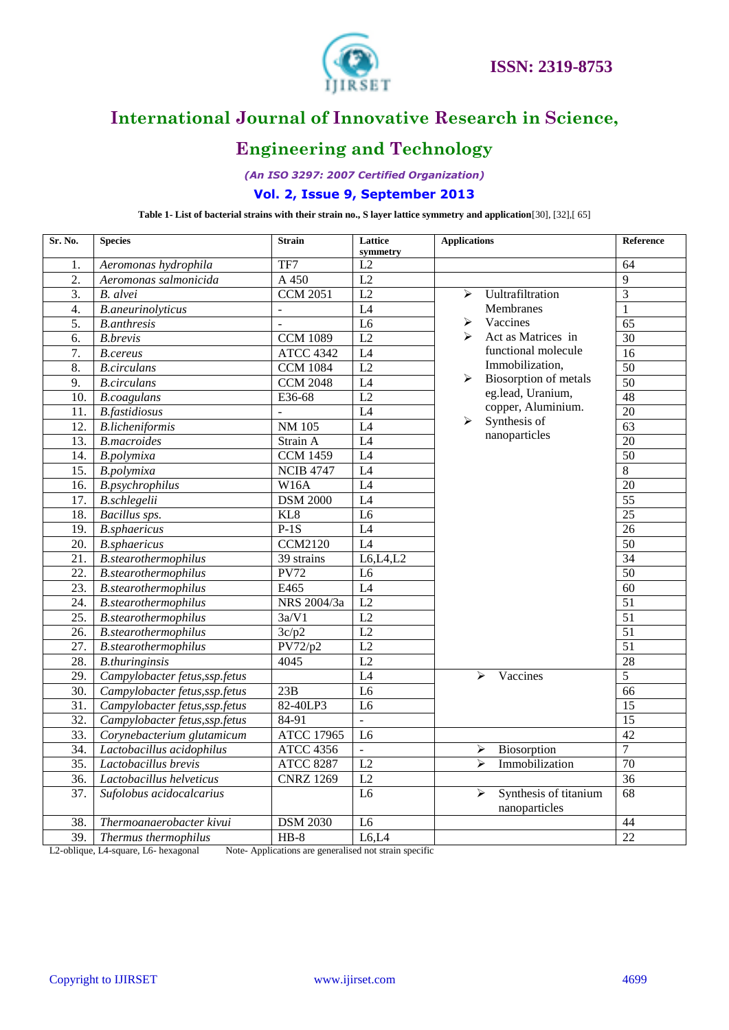

# **Engineering and Technology**

*(An ISO 3297: 2007 Certified Organization)*

#### **Vol. 2, Issue 9, September 2013**

**Table 1- List of bacterial strains with their strain no., S layer lattice symmetry and application**[30], [32],[ 65]

| Sr. No.           | <b>Species</b>                 | <b>Strain</b>         | Lattice<br>symmetry | <b>Applications</b>                                             | Reference       |
|-------------------|--------------------------------|-----------------------|---------------------|-----------------------------------------------------------------|-----------------|
| 1.                | Aeromonas hydrophila           | TF7                   | L2                  |                                                                 | 64              |
| 2.                | Aeromonas salmonicida          | A 450                 | $\overline{L2}$     |                                                                 | 9               |
| $\overline{3}$ .  | B. alvei                       | <b>CCM 2051</b>       | $\overline{L2}$     | Uultrafiltration<br>↘                                           | $\overline{3}$  |
| 4.                | <b>B.aneurinolyticus</b>       | $\overline{a}$        | L4                  | Membranes                                                       | 1               |
| 5.                | <b>B.anthresis</b>             | $\overline{a}$        | L <sub>6</sub>      | Vaccines<br>⋗                                                   | 65              |
| 6.                | <b>B.brevis</b>                | <b>CCM 1089</b>       | L2                  | Act as Matrices in                                              | 30              |
| 7.                | <b>B.cereus</b>                | <b>ATCC 4342</b>      | $\overline{L4}$     | functional molecule                                             | $\overline{16}$ |
| 8.                | <b>B.circulans</b>             | <b>CCM 1084</b>       | $\overline{L2}$     | Immobilization,                                                 | $\overline{50}$ |
| 9.                | <b>B.circulans</b>             | <b>CCM 2048</b>       | L4                  | Biosorption of metals<br>➤                                      | $\overline{50}$ |
| 10.               | <b>B.coagulans</b>             | E36-68                | L2                  | eg.lead, Uranium,                                               | 48              |
| 11.               | <b>B.</b> fastidiosus          | $\overline{a}$        | $\overline{L4}$     | copper, Aluminium.                                              | $\overline{20}$ |
| 12.               | <b>B.licheniformis</b>         | <b>NM 105</b>         | $\overline{L4}$     | Synthesis of<br>$\blacktriangleright$                           | 63              |
| 13.               | <b>B.macroides</b>             | Strain A              | L4                  | nanoparticles                                                   | 20              |
| 14.               | B.polymixa                     | $\overline{CCM14}$ 59 | L4                  |                                                                 | $\overline{50}$ |
| 15.               | B.polymixa                     | <b>NCIB 4747</b>      | L4                  |                                                                 | 8               |
| 16.               | <b>B.psychrophilus</b>         | W16A                  | $\overline{L4}$     |                                                                 | $\overline{20}$ |
| 17.               | <b>B.schlegelii</b>            | <b>DSM 2000</b>       | $\overline{L4}$     |                                                                 | $\overline{55}$ |
| 18.               | Bacillus sps.                  | KL8                   | $\overline{L6}$     |                                                                 | $\overline{25}$ |
| 19.               | <b>B.sphaericus</b>            | $P-1S$                | L4                  |                                                                 | $\overline{26}$ |
| 20.               | <b>B.sphaericus</b>            | <b>CCM2120</b>        | $\overline{L4}$     |                                                                 | $\overline{50}$ |
| 21.               | B.stearothermophilus           | 39 strains            | L6, L4, L2          |                                                                 | 34              |
| 22.               | <b>B.stearothermophilus</b>    | <b>PV72</b>           | L <sub>6</sub>      |                                                                 | 50              |
| 23.               | B.stearothermophilus           | E465                  | L4                  |                                                                 | 60              |
| 24.               | B.stearothermophilus           | NRS 2004/3a           | $\overline{L2}$     |                                                                 | $\overline{51}$ |
| $\overline{25}$ . | <b>B.stearothermophilus</b>    | 3a/V1                 | L2                  |                                                                 | 51              |
| 26.               | <b>B.stearothermophilus</b>    | 3c/p2                 | L2                  |                                                                 | $\overline{51}$ |
| $\overline{27}$ . | <b>B.stearothermophilus</b>    | PV72/p2               | L2                  |                                                                 | $\overline{51}$ |
| 28.               | <b>B.thuringinsis</b>          | 4045                  | $\overline{L2}$     |                                                                 | $\overline{28}$ |
| 29.               | Campylobacter fetus, ssp.fetus |                       | $\overline{L4}$     | Vaccines<br>$\blacktriangleright$                               | 5               |
| 30.               | Campylobacter fetus, ssp.fetus | 23B                   | L <sub>6</sub>      |                                                                 | 66              |
| 31.               | Campylobacter fetus, ssp.fetus | 82-40LP3              | $\overline{L6}$     |                                                                 | $\overline{15}$ |
| 32.               | Campylobacter fetus, ssp.fetus | 84-91                 | $\overline{a}$      |                                                                 | $\overline{15}$ |
| 33.               | Corynebacterium glutamicum     | <b>ATCC 17965</b>     | L <sub>6</sub>      |                                                                 | $\overline{42}$ |
| 34.               | Lactobacillus acidophilus      | <b>ATCC 4356</b>      | $\overline{a}$      | Biosorption<br>➤                                                | $\overline{7}$  |
| $\overline{35}$ . | Lactobacillus brevis           | <b>ATCC 8287</b>      | L2                  | $\blacktriangleright$<br>Immobilization                         | 70              |
| $\overline{36}$   | Lactobacillus helveticus       | <b>CNRZ 1269</b>      | L2                  |                                                                 | $\overline{36}$ |
| 37.               | Sufolobus acidocalcarius       |                       | L <sub>6</sub>      | $\blacktriangleright$<br>Synthesis of titanium<br>nanoparticles | 68              |
| 38.               | Thermoanaerobacter kivui       | <b>DSM 2030</b>       | L <sub>6</sub>      |                                                                 | 44              |
| 39.               | Thermus thermophilus           | $HB-8$                | L6,L4               |                                                                 | $\overline{22}$ |

L2-oblique, L4-square, L6- hexagonal Note- Applications are generalised not strain specific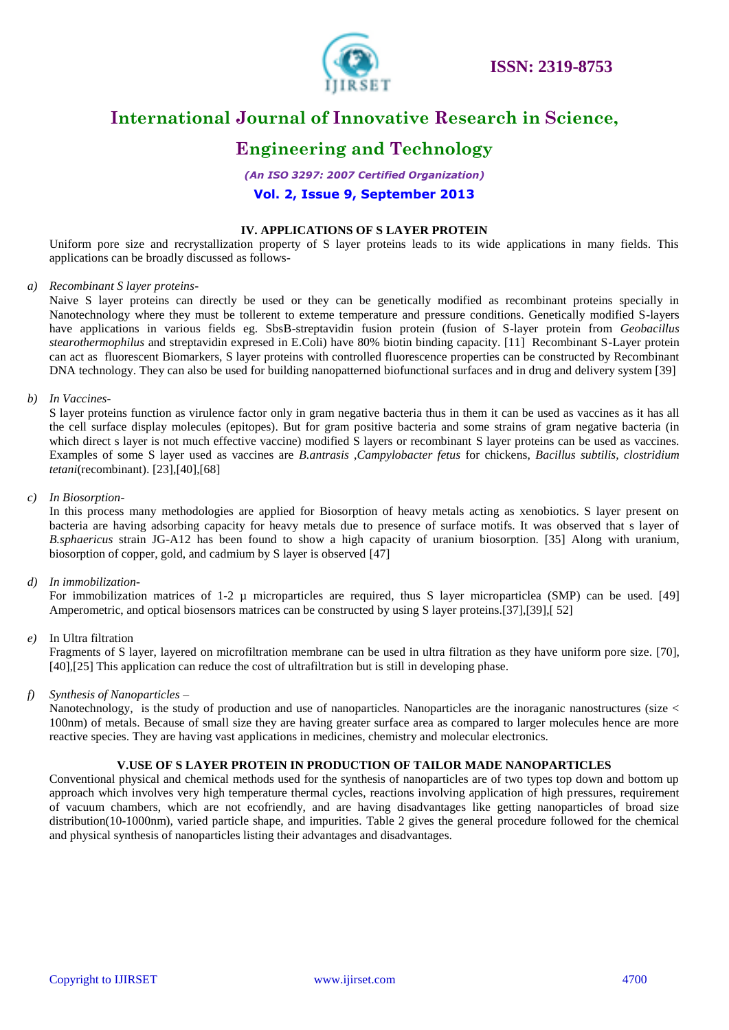

# **Engineering and Technology**

*(An ISO 3297: 2007 Certified Organization)*

#### **Vol. 2, Issue 9, September 2013**

#### **IV. APPLICATIONS OF S LAYER PROTEIN**

Uniform pore size and recrystallization property of S layer proteins leads to its wide applications in many fields. This applications can be broadly discussed as follows-

#### *a) Recombinant S layer proteins*-

Naive S layer proteins can directly be used or they can be genetically modified as recombinant proteins specially in Nanotechnology where they must be tollerent to exteme temperature and pressure conditions. Genetically modified S-layers have applications in various fields eg. SbsB-streptavidin fusion protein (fusion of S-layer protein from *Geobacillus stearothermophilus* and streptavidin expresed in E.Coli) have 80% biotin binding capacity. [11] Recombinant S-Layer protein can act as fluorescent Biomarkers, S layer proteins with controlled fluorescence properties can be constructed by Recombinant DNA technology. They can also be used for building nanopatterned biofunctional surfaces and in drug and delivery system [39]

#### *b) In Vaccines*-

S layer proteins function as virulence factor only in gram negative bacteria thus in them it can be used as vaccines as it has all the cell surface display molecules (epitopes). But for gram positive bacteria and some strains of gram negative bacteria (in which direct s layer is not much effective vaccine) modified S layers or recombinant S layer proteins can be used as vaccines. Examples of some S layer used as vaccines are *B.antrasis* ,*Campylobacter fetus* for chickens, *Bacillus subtilis, clostridium tetani*(recombinant). [23],[40],[68]

#### *c) In Biosorption*-

In this process many methodologies are applied for Biosorption of heavy metals acting as xenobiotics. S layer present on bacteria are having adsorbing capacity for heavy metals due to presence of surface motifs. It was observed that s layer of *B.sphaericus* strain JG-A12 has been found to show a high capacity of uranium biosorption. [35] Along with uranium, biosorption of copper, gold, and cadmium by S layer is observed [47]

#### *d) In immobilization-*

For immobilization matrices of  $1-2$  µ microparticles are required, thus S layer microparticlea (SMP) can be used. [49] Amperometric, and optical biosensors matrices can be constructed by using S layer proteins.[37],[39],[ 52]

#### *e)* In Ultra filtration

Fragments of S layer, layered on microfiltration membrane can be used in ultra filtration as they have uniform pore size. [70], [40],[25] This application can reduce the cost of ultrafiltration but is still in developing phase.

#### *f) Synthesis of Nanoparticles* –

Nanotechnology, is the study of production and use of nanoparticles. Nanoparticles are the inoraganic nanostructures (size < 100nm) of metals. Because of small size they are having greater surface area as compared to larger molecules hence are more reactive species. They are having vast applications in medicines, chemistry and molecular electronics.

#### **V.USE OF S LAYER PROTEIN IN PRODUCTION OF TAILOR MADE NANOPARTICLES**

Conventional physical and chemical methods used for the synthesis of nanoparticles are of two types top down and bottom up approach which involves very high temperature thermal cycles, reactions involving application of high pressures, requirement of vacuum chambers, which are not ecofriendly, and are having disadvantages like getting nanoparticles of broad size distribution(10-1000nm), varied particle shape, and impurities. Table 2 gives the general procedure followed for the chemical and physical synthesis of nanoparticles listing their advantages and disadvantages.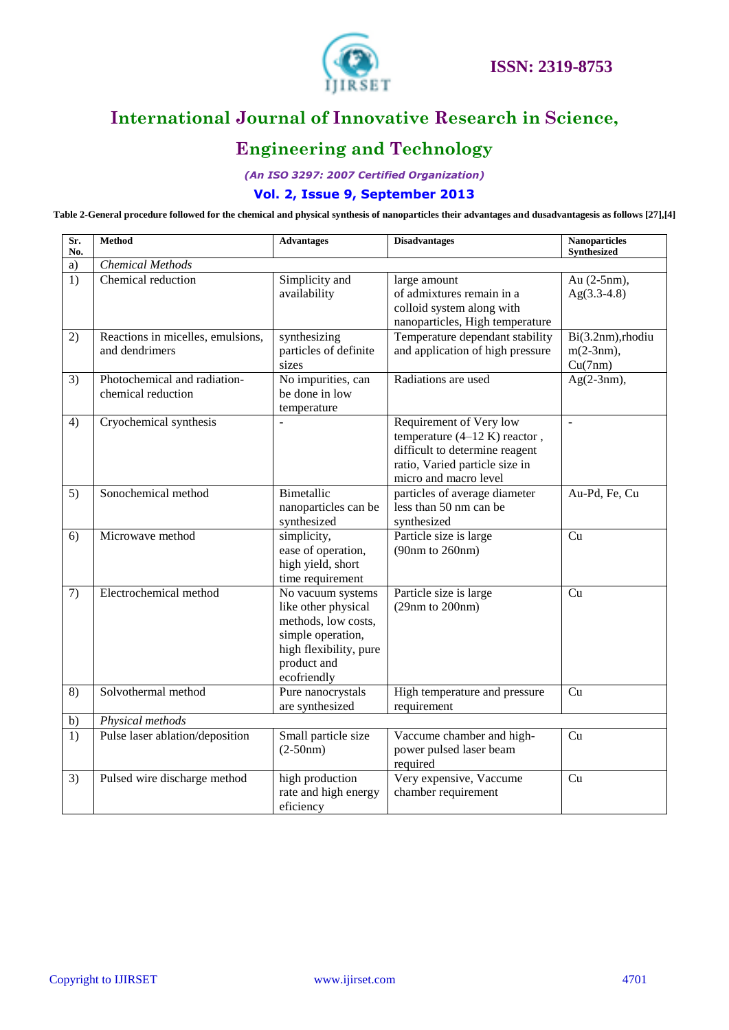

# **Engineering and Technology**

*(An ISO 3297: 2007 Certified Organization)*

#### **Vol. 2, Issue 9, September 2013**

**Table 2-General procedure followed for the chemical and physical synthesis of nanoparticles their advantages and dusadvantagesis as follows [27],[4]**

| Sr.<br>No. | <b>Method</b>                                       | <b>Advantages</b>                                                                                                                            | <b>Disadvantages</b>                                                                                                                                    | <b>Nanoparticles</b><br><b>Synthesized</b>   |
|------------|-----------------------------------------------------|----------------------------------------------------------------------------------------------------------------------------------------------|---------------------------------------------------------------------------------------------------------------------------------------------------------|----------------------------------------------|
| a)         | <b>Chemical Methods</b>                             |                                                                                                                                              |                                                                                                                                                         |                                              |
| 1)         | Chemical reduction                                  | Simplicity and<br>availability                                                                                                               | large amount<br>of admixtures remain in a<br>colloid system along with<br>nanoparticles, High temperature                                               | Au (2-5nm),<br>$Ag(3.3-4.8)$                 |
| 2)         | Reactions in micelles, emulsions,<br>and dendrimers | synthesizing<br>particles of definite<br>sizes                                                                                               | Temperature dependant stability<br>and application of high pressure                                                                                     | Bi(3.2nm), rhodiu<br>$m(2-3nm)$ ,<br>Cu(7nm) |
| 3)         | Photochemical and radiation-<br>chemical reduction  | No impurities, can<br>be done in low<br>temperature                                                                                          | Radiations are used                                                                                                                                     | $Ag(2-3nm),$                                 |
| 4)         | Cryochemical synthesis                              | $\overline{a}$                                                                                                                               | Requirement of Very low<br>temperature $(4-12 K)$ reactor,<br>difficult to determine reagent<br>ratio, Varied particle size in<br>micro and macro level | $\overline{\phantom{a}}$                     |
| 5)         | Sonochemical method                                 | Bimetallic<br>nanoparticles can be<br>synthesized                                                                                            | particles of average diameter<br>less than 50 nm can be<br>synthesized                                                                                  | Au-Pd, Fe, Cu                                |
| 6)         | Microwave method                                    | simplicity,<br>ease of operation,<br>high yield, short<br>time requirement                                                                   | Particle size is large<br>(90nm to 260nm)                                                                                                               | Cu                                           |
| 7)         | Electrochemical method                              | No vacuum systems<br>like other physical<br>methods, low costs,<br>simple operation,<br>high flexibility, pure<br>product and<br>ecofriendly | Particle size is large<br>(29nm to 200nm)                                                                                                               | Cu                                           |
| 8)         | Solvothermal method                                 | Pure nanocrystals<br>are synthesized                                                                                                         | High temperature and pressure<br>requirement                                                                                                            | Cu                                           |
| b)         | Physical methods                                    |                                                                                                                                              |                                                                                                                                                         |                                              |
| 1)         | Pulse laser ablation/deposition                     | Small particle size<br>$(2-50nm)$                                                                                                            | Vaccume chamber and high-<br>power pulsed laser beam<br>required                                                                                        | Cu                                           |
| 3)         | Pulsed wire discharge method                        | high production<br>rate and high energy<br>eficiency                                                                                         | Very expensive, Vaccume<br>chamber requirement                                                                                                          | Cu                                           |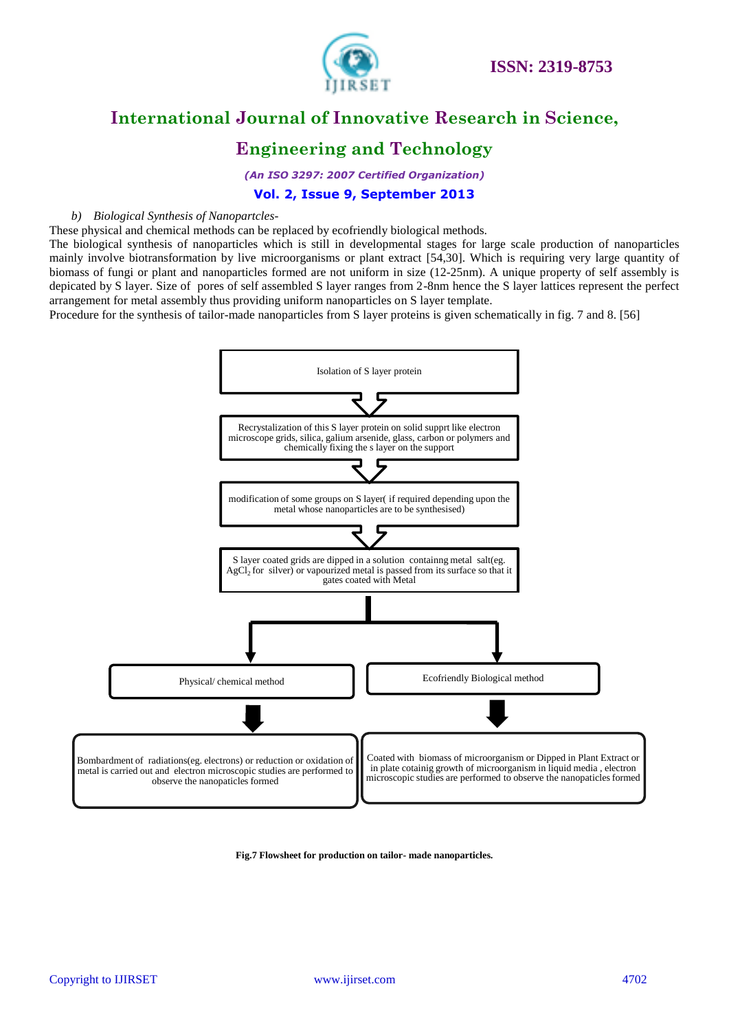

### **Engineering and Technology**

*(An ISO 3297: 2007 Certified Organization)*

#### **Vol. 2, Issue 9, September 2013**

#### *b) Biological Synthesis of Nanopartcles-*

These physical and chemical methods can be replaced by ecofriendly biological methods.

The biological synthesis of nanoparticles which is still in developmental stages for large scale production of nanoparticles mainly involve biotransformation by live microorganisms or plant extract [54,30]. Which is requiring very large quantity of biomass of fungi or plant and nanoparticles formed are not uniform in size (12-25nm). A unique property of self assembly is depicated by S layer. Size of pores of self assembled S layer ranges from 2-8nm hence the S layer lattices represent the perfect arrangement for metal assembly thus providing uniform nanoparticles on S layer template.

Procedure for the synthesis of tailor-made nanoparticles from S layer proteins is given schematically in fig. 7 and 8. [56]



**Fig.7 Flowsheet for production on tailor- made nanoparticles.**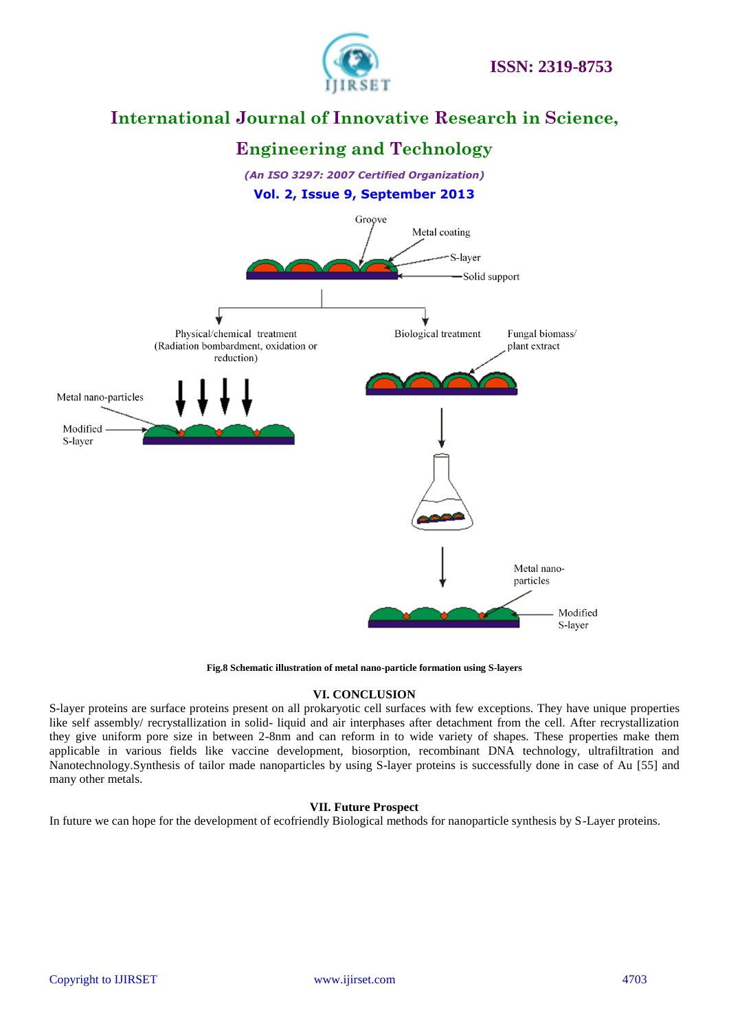

# **Engineering and Technology**

*(An ISO 3297: 2007 Certified Organization)* **Vol. 2, Issue 9, September 2013**



**Fig.8 Schematic illustration of metal nano-particle formation using S-layers**

#### **VI. CONCLUSION**

S-layer proteins are surface proteins present on all prokaryotic cell surfaces with few exceptions. They have unique properties like self assembly/ recrystallization in solid- liquid and air interphases after detachment from the cell. After recrystallization they give uniform pore size in between 2-8nm and can reform in to wide variety of shapes. These properties make them applicable in various fields like vaccine development, biosorption, recombinant DNA technology, ultrafiltration and Nanotechnology.Synthesis of tailor made nanoparticles by using S-layer proteins is successfully done in case of Au [55] and many other metals.

#### **VII. Future Prospect**

In future we can hope for the development of ecofriendly Biological methods for nanoparticle synthesis by S-Layer proteins.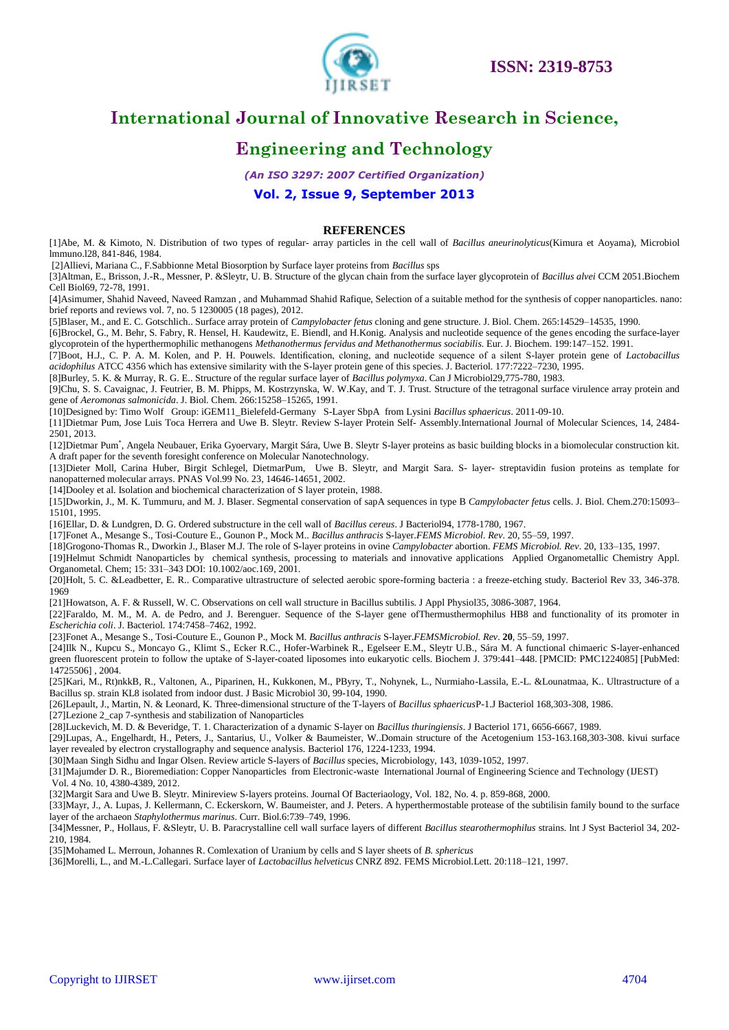

# **Engineering and Technology**

*(An ISO 3297: 2007 Certified Organization)*

#### **Vol. 2, Issue 9, September 2013**

#### **REFERENCES**

[1]Abe, M. & Kimoto, N. Distribution of two types of regular- array particles in the cell wall of *Bacillus aneurinolyticus*(Kimura et Aoyama), Microbiol lmmuno.l28, 841-846, 1984.

[2]Allievi, Mariana C., F.Sabbionne Metal Biosorption by Surface layer proteins from *Bacillus* sps

[3]Altman, E., Brisson, J.-R., Messner, P. &Sleytr, U. B. Structure of the glycan chain from the surface layer glycoprotein of *Bacillus alvei* CCM 2051.Biochem Cell Biol69, 72-78, 1991.

[4]Asimumer, Shahid Naveed, Naveed Ramzan , and Muhammad Shahid Rafique, Selection of a suitable method for the synthesis of copper nanoparticles. nano: brief reports and reviews vol. 7, no. 5 1230005 (18 pages), 2012.

[5]Blaser, M., and E. C. Gotschlich.. Surface array protein of *Campylobacter fetus* cloning and gene structure. J. Biol. Chem. 265:14529–14535, 1990.

[6]Brockel, G., M. Behr, S. Fabry, R. Hensel, H. Kaudewitz, E. Biendl, and H.Konig. Analysis and nucleotide sequence of the genes encoding the surface-layer glycoprotein of the hyperthermophilic methanogens *Methanothermus fervidus and Methanothermus sociabilis*. Eur. J. Biochem. 199:147–152. 1991.

[7]Boot, H.J., C. P. A. M. Kolen, and P. H. Pouwels. Identification, cloning, and nucleotide sequence of a silent S-layer protein gene of *Lactobacillus acidophilus* ATCC 4356 which has extensive similarity with the S-layer protein gene of this species. J. Bacteriol. 177:7222–7230, 1995.

[8]Burley, 5. K. & Murray, R. G. E.. Structure of the regular surface layer of *Bacillus polymyxa*. Can J Microbiol29,775-780, 1983.

[9]Chu, S. S. Cavaignac, J. Feutrier, B. M. Phipps, M. Kostrzynska, W. W.Kay, and T. J. Trust. Structure of the tetragonal surface virulence array protein and gene of *Aeromonas salmonicida*. J. Biol. Chem. 266:15258–15265, 1991.

[10]Designed by: Timo Wolf Group: iGEM11\_Bielefeld-Germany S-Layer SbpA from Lysini *Bacillus sphaericus*. 2011-09-10.

[11]Dietmar Pum, Jose Luis Toca Herrera and Uwe B. Sleytr. Review S-layer Protein Self- Assembly.International Journal of Molecular Sciences, 14, 2484- 2501, 2013.

[12]Dietmar Pum\* , Angela Neubauer, Erika Gyoervary, Margit Sára, Uwe B. Sleytr S-layer proteins as basic building blocks in a biomolecular construction kit. A draft paper for the seventh foresight conference on Molecular Nanotechnology.

[13]Dieter Moll, Carina Huber, Birgit Schlegel, DietmarPum, Uwe B. Sleytr, and Margit Sara. S- layer- streptavidin fusion proteins as template for nanopatterned molecular arrays. PNAS Vol.99 No. 23, 14646-14651, 2002.

[14]Dooley et al. Isolation and biochemical characterization of S layer protein, 1988.

[15]Dworkin, J., M. K. Tummuru, and M. J. Blaser. Segmental conservation of sapA sequences in type B *Campylobacter fetus* cells. J. Biol. Chem.270:15093– 15101, 1995.

[16]Ellar, D. & Lundgren, D. G. Ordered substructure in the cell wall of *Bacillus cereus*. J Bacteriol94, 1778-1780, 1967.

[17]Fonet A., Mesange S., Tosi-Couture E., Gounon P., Mock M.. *Bacillus anthracis* S-layer.*FEMS Microbiol. Rev*. 20, 55–59, 1997.

[18]Grogono-Thomas R., Dworkin J., Blaser M.J. The role of S-layer proteins in ovine *Campylobacter* abortion. *FEMS Microbiol. Rev*. 20, 133–135, 1997.

[19]Helmut Schmidt Nanoparticles by chemical synthesis, processing to materials and innovative applications Applied Organometallic Chemistry Appl. Organometal. Chem; 15: 331–343 DOI: 10.1002/aoc.169, 2001.

[20]Holt, 5. C. &Leadbetter, E. R.. Comparative ultrastructure of selected aerobic spore-forming bacteria : a freeze-etching study. Bacteriol Rev 33, 346-378. 1969

[21]Howatson, A. F. & Russell, W. C. Observations on cell wall structure in Bacillus subtilis. J Appl Physiol35, 3086-3087, 1964.

[22]Faraldo, M. M., M. A. de Pedro, and J. Berenguer. Sequence of the S-layer gene of Thermusthermophilus HB8 and functionality of its promoter in *Escherichia coli*. J. Bacteriol. 174:7458–7462, 1992.

[23]Fonet A., Mesange S., Tosi-Couture E., Gounon P., Mock M. *Bacillus anthracis* S-layer.*FEMSMicrobiol. Rev*. **20**, 55–59, 1997.

[24]Ilk N., Kupcu S., Moncayo G., Klimt S., Ecker R.C., Hofer-Warbinek R., Egelseer E.M., Sleytr U.B., Sára M. A functional chimaeric S-layer-enhanced green fluorescent protein to follow the uptake of S-layer-coated liposomes into eukaryotic cells. Biochem J. 379:441–448. [PMCID: PMC1224085] [PubMed: 14725506] , 2004.

[25]Kari, M., Rt)nkkB, R., Valtonen, A., Piparinen, H., Kukkonen, M., PByry, T., Nohynek, L., Nurmiaho-Lassila, E.-L. &Lounatmaa, K.. Ultrastructure of a Bacillus sp. strain KL8 isolated from indoor dust. J Basic Microbiol 30, 99-104, 1990.

[26]Lepault, J., Martin, N. & Leonard, K. Three-dimensional structure of the T-layers of *Bacillus sphaericus*P-1.J Bacteriol 168,303-308, 1986.

[27]Lezione 2\_cap 7-synthesis and stabilization of Nanoparticles

[28]Luckevich, M. D. & Beveridge, T. 1. Characterization of a dynamic S-layer on *Bacillus thuringiensis*. J Bacteriol 171, 6656-6667, 1989.

[29]Lupas, A., Engelhardt, H., Peters, J., Santarius, U., Volker & Baumeister, W..Domain structure of the Acetogenium 153-163.168,303-308. kivui surface layer revealed by electron crystallography and sequence analysis. Bacteriol 176, 1224-1233, 1994.

[30]Maan Singh Sidhu and Ingar Olsen. Review article S-layers of *Bacillus* species, Microbiology, 143, 1039-1052, 1997.

[31]Majumder D. R., Bioremediation: Copper Nanoparticles from Electronic-waste International Journal of Engineering Science and Technology (IJEST)

Vol. 4 No. 10, 4380-4389, 2012.

[32]Margit Sara and Uwe B. Sleytr. Minireview S-layers proteins. Journal Of Bacteriaology, Vol. 182, No. 4. p. 859-868, 2000.

[33]Mayr, J., A. Lupas, J. Kellermann, C. Eckerskorn, W. Baumeister, and J. Peters. A hyperthermostable protease of the subtilisin family bound to the surface layer of the archaeon *Staphylothermus marinus*. Curr. Biol.6:739–749, 1996.

[34]Messner, P., Hollaus, F. &Sleytr, U. B. Paracrystalline cell wall surface layers of different *Bacillus stearothermophilus* strains. lnt J Syst Bacteriol 34, 202- 210, 1984.

[35]Mohamed L. Merroun, Johannes R. Comlexation of Uranium by cells and S layer sheets of *B. sphericus*

[36]Morelli, L., and M.-L.Callegari. Surface layer of *Lactobacillus helveticus* CNRZ 892. FEMS Microbiol.Lett. 20:118–121, 1997.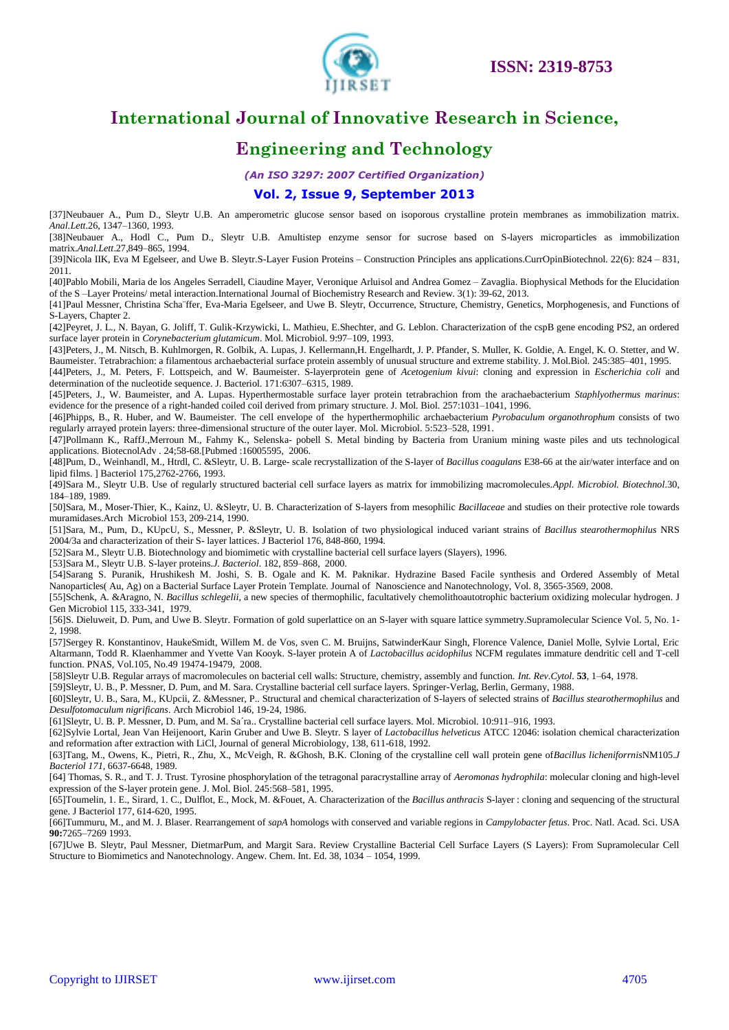

### **Engineering and Technology**

*(An ISO 3297: 2007 Certified Organization)*

#### **Vol. 2, Issue 9, September 2013**

[37]Neubauer A., Pum D., Sleytr U.B. An amperometric glucose sensor based on isoporous crystalline protein membranes as immobilization matrix. *Anal.Lett*.26, 1347–1360, 1993.

[38]Neubauer A., Hodl C., Pum D., Sleytr U.B. Amultistep enzyme sensor for sucrose based on S-layers microparticles as immobilization matrix.*Anal.Lett*.27,849–865, 1994.

[39]Nicola IIK, Eva M Egelseer, and Uwe B. Sleytr.S-Layer Fusion Proteins – Construction Principles ans applications.CurrOpinBiotechnol. 22(6): 824 – 831, 2011.

[40]Pablo Mobili, Maria de los Angeles Serradell, Ciaudine Mayer, Veronique Arluisol and Andrea Gomez – Zavaglia. Biophysical Methods for the Elucidation of the S –Layer Proteins/ metal interaction.International Journal of Biochemistry Research and Review. 3(1): 39-62, 2013.

[41]Paul Messner, Christina Scha¨ffer, Eva-Maria Egelseer, and Uwe B. Sleytr, Occurrence, Structure, Chemistry, Genetics, Morphogenesis, and Functions of S-Layers, Chapter 2.

[42]Peyret, J. L., N. Bayan, G. Joliff, T. Gulik-Krzywicki, L. Mathieu, E.Shechter, and G. Leblon. Characterization of the cspB gene encoding PS2, an ordered surface layer protein in *Corynebacterium glutamicum*. Mol. Microbiol. 9:97–109, 1993.

[43]Peters, J., M. Nitsch, B. Kuhlmorgen, R. Golbik, A. Lupas, J. Kellermann,H. Engelhardt, J. P. Pfander, S. Muller, K. Goldie, A. Engel, K. O. Stetter, and W. Baumeister. Tetrabrachion: a filamentous archaebacterial surface protein assembly of unusual structure and extreme stability. J. Mol.Biol. 245:385–401, 1995.

[44]Peters, J., M. Peters, F. Lottspeich, and W. Baumeister. S-layerprotein gene of *Acetogenium kivui*: cloning and expression in *Escherichia coli* and determination of the nucleotide sequence. J. Bacteriol. 171:6307–6315, 1989.

[45]Peters, J., W. Baumeister, and A. Lupas. Hyperthermostable surface layer protein tetrabrachion from the arachaebacterium *Staphlyothermus marinus*: evidence for the presence of a right-handed coiled coil derived from primary structure. J. Mol. Biol. 257:1031–1041, 1996.

[46]Phipps, B., R. Huber, and W. Baumeister. The cell envelope of the hyperthermophilic archaebacterium *Pyrobaculum organothrophum* consists of two regularly arrayed protein layers: three-dimensional structure of the outer layer. Mol. Microbiol. 5:523–528, 1991.

[47]Pollmann K., RaffJ.,Merroun M., Fahmy K., Selenska- pobell S. Metal binding by Bacteria from Uranium mining waste piles and uts technological applications. BiotecnolAdv . 24;58-68.[Pubmed :16005595, 2006.

[48]Pum, D., Weinhandl, M., Htrdl, C. &Sleytr, U. B. Large- scale recrystallization of the S-layer of *Bacillus coagulans* E38-66 at the air/water interface and on lipid films. ] Bacteriol 175,2762-2766, 1993.

[49]Sara M., Sleytr U.B. Use of regularly structured bacterial cell surface layers as matrix for immobilizing macromolecules.*Appl. Microbiol. Biotechnol*.30, 184–189, 1989.

[50]Sara, M., Moser-Thier, K., Kainz, U. &Sleytr, U. B. Characterization of S-layers from mesophilic *Bacillaceae* and studies on their protective role towards muramidases.Arch Microbiol 153, 209-214, 1990.

[51]Sara, M., Pum, D., KUpcU, S., Messner, P. &Sleytr, U. B. Isolation of two physiological induced variant strains of *Bacillus stearothermophilus* NRS 2004/3a and characterization of their S- layer lattices. J Bacteriol 176, 848-860, 1994.

[52]Sara M., Sleytr U.B. Biotechnology and biomimetic with crystalline bacterial cell surface layers (Slayers), 1996.

[53]Sara M., Sleytr U.B. S-layer proteins.*J. Bacteriol*. 182, 859–868, 2000.

[54]Sarang S. Puranik, Hrushikesh M. Joshi, S. B. Ogale and K. M. Paknikar. Hydrazine Based Facile synthesis and Ordered Assembly of Metal Nanoparticles( Au, Ag) on a Bacterial Surface Layer Protein Template. Journal of Nanoscience and Nanotechnology, Vol. 8, 3565-3569, 2008.

[55]Schenk, A. &Aragno, N. *Bacillus schlegelii*, a new species of thermophilic, facultatively chemolithoautotrophic bacterium oxidizing molecular hydrogen. J Gen Microbiol 115, 333-341, 1979.

[56]S. Dieluweit, D. Pum, and Uwe B. Sleytr. Formation of gold superlattice on an S-layer with square lattice symmetry.Supramolecular Science Vol. 5, No. 1- 2, 1998.

[57]Sergey R. Konstantinov, HaukeSmidt, Willem M. de Vos, sven C. M. Bruijns, SatwinderKaur Singh, Florence Valence, Daniel Molle, Sylvie Lortal, Eric Altarmann, Todd R. Klaenhammer and Yvette Van Kooyk. S-layer protein A of *Lactobacillus acidophilus* NCFM regulates immature dendritic cell and T-cell function. PNAS, Vol.105, No.49 19474-19479, 2008.

[58]Sleytr U.B. Regular arrays of macromolecules on bacterial cell walls: Structure, chemistry, assembly and function. *Int. Rev.Cytol*. **53**, 1–64, 1978.

[59]Sleytr, U. B., P. Messner, D. Pum, and M. Sara. Crystalline bacterial cell surface layers. Springer-Verlag, Berlin, Germany, 1988.

[60]Sleytr, U. B., Sara, M., KUpcii, Z. &Messner, P.. Structural and chemical characterization of S-layers of selected strains of *Bacillus stearothermophilus* and *Desulfotomaculum nigrificans*. Arch Microbiol 146, 19-24, 1986.

[61]Sleytr, U. B. P. Messner, D. Pum, and M. Sa´ra.. Crystalline bacterial cell surface layers. Mol. Microbiol. 10:911–916, 1993.

[62]Sylvie Lortal, Jean Van Heijenoort, Karin Gruber and Uwe B. Sleytr. S layer of *Lactobacillus helveticus* ATCC 12046: isolation chemical characterization and reformation after extraction with LiCl, Journal of general Microbiology, 138, 611-618, 1992.

[63]Tang, M., Owens, K., Pietri, R., Zhu, X., McVeigh, R. &Ghosh, B.K. Cloning of the crystalline cell wall protein gene of*Bacillus licheniforrnis*NM105.*J Bacteriol 171,* 6637-6648, 1989.

[64] Thomas, S. R., and T. J. Trust. Tyrosine phosphorylation of the tetragonal paracrystalline array of *Aeromonas hydrophila*: molecular cloning and high-level expression of the S-layer protein gene. J. Mol. Biol. 245:568–581, 1995.

[65]Toumelin, 1. E., Sirard, 1. C., Dulflot, E., Mock, M. &Fouet, A. Characterization of the *Bacillus anthracis* S-layer : cloning and sequencing of the structural gene. J Bacteriol 177, 614-620, 1995.

[66]Tummuru, M., and M. J. Blaser. Rearrangement of *sapA* homologs with conserved and variable regions in *Campylobacter fetus*. Proc. Natl. Acad. Sci. USA **90:**7265–7269 1993.

[67]Uwe B. Sleytr, Paul Messner, DietmarPum, and Margit Sara. Review Crystalline Bacterial Cell Surface Layers (S Layers): From Supramolecular Cell Structure to Biomimetics and Nanotechnology. Angew. Chem. Int. Ed. 38, 1034 – 1054, 1999.